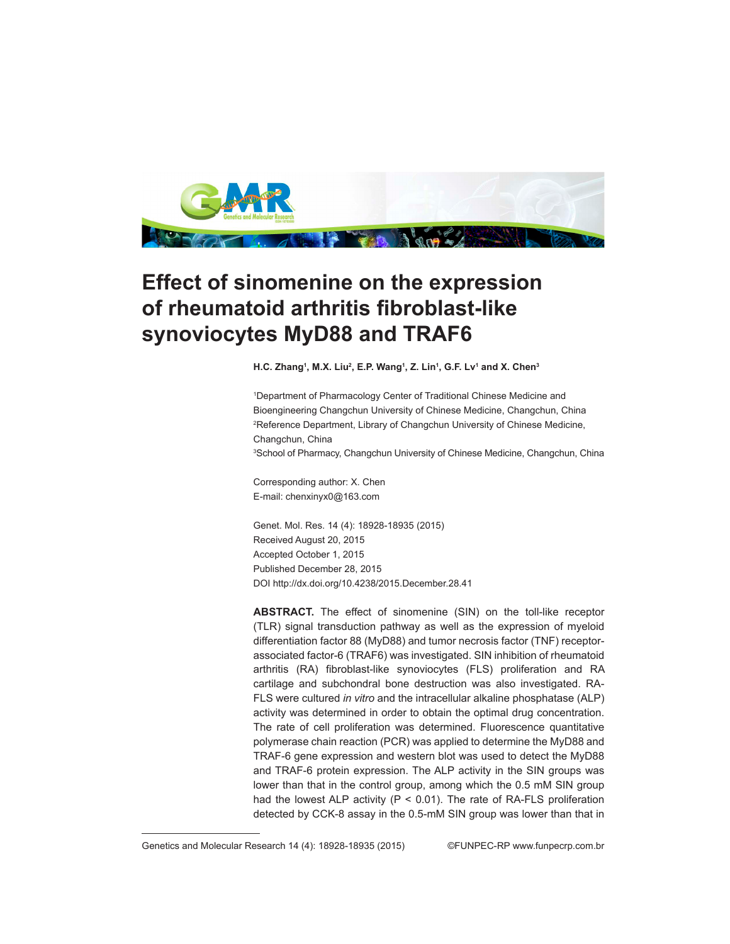

# **Effect of sinomenine on the expression of rheumatoid arthritis fibroblast-like synoviocytes MyD88 and TRAF6**

**H.C. Zhang1 , M.X. Liu2 , E.P. Wang1 , Z. Lin1 , G.F. Lv1 and X. Chen3**

1 Department of Pharmacology Center of Traditional Chinese Medicine and Bioengineering Changchun University of Chinese Medicine, Changchun, China <sup>2</sup>Reference Department, Library of Changchun University of Chinese Medicine, Changchun, China 3 School of Pharmacy, Changchun University of Chinese Medicine, Changchun, China

Corresponding author: X. Chen E-mail: chenxinyx0@163.com

Genet. Mol. Res. 14 (4): 18928-18935 (2015) Received August 20, 2015 Accepted October 1, 2015 Published December 28, 2015 DOI http://dx.doi.org/10.4238/2015.December.28.41

**ABSTRACT.** The effect of sinomenine (SIN) on the toll-like receptor (TLR) signal transduction pathway as well as the expression of myeloid differentiation factor 88 (MyD88) and tumor necrosis factor (TNF) receptorassociated factor-6 (TRAF6) was investigated. SIN inhibition of rheumatoid arthritis (RA) fibroblast-like synoviocytes (FLS) proliferation and RA cartilage and subchondral bone destruction was also investigated. RA-FLS were cultured *in vitro* and the intracellular alkaline phosphatase (ALP) activity was determined in order to obtain the optimal drug concentration. The rate of cell proliferation was determined. Fluorescence quantitative polymerase chain reaction (PCR) was applied to determine the MyD88 and TRAF-6 gene expression and western blot was used to detect the MyD88 and TRAF-6 protein expression. The ALP activity in the SIN groups was lower than that in the control group, among which the 0.5 mM SIN group had the lowest ALP activity ( $P < 0.01$ ). The rate of RA-FLS proliferation detected by CCK-8 assay in the 0.5-mM SIN group was lower than that in

Genetics and Molecular Research 14 (4): 18928-18935 (2015) ©FUNPEC-RP www.funpecrp.com.br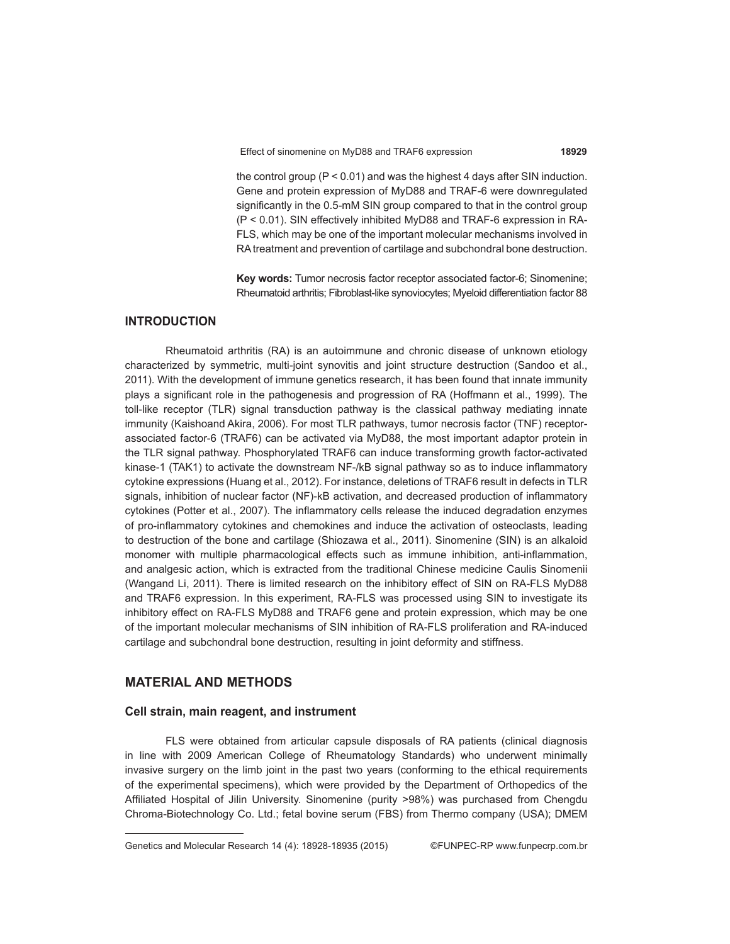Effect of sinomenine on MyD88 and TRAF6 expression **18929**

the control group (P < 0.01) and was the highest 4 days after SIN induction. Gene and protein expression of MyD88 and TRAF-6 were downregulated significantly in the 0.5-mM SIN group compared to that in the control group (P < 0.01). SIN effectively inhibited MyD88 and TRAF-6 expression in RA-FLS, which may be one of the important molecular mechanisms involved in RA treatment and prevention of cartilage and subchondral bone destruction.

**Key words:** Tumor necrosis factor receptor associated factor-6; Sinomenine; Rheumatoid arthritis; Fibroblast-like synoviocytes; Myeloid differentiation factor 88

# **INTRODUCTION**

Rheumatoid arthritis (RA) is an autoimmune and chronic disease of unknown etiology characterized by symmetric, multi-joint synovitis and joint structure destruction (Sandoo et al., 2011). With the development of immune genetics research, it has been found that innate immunity plays a significant role in the pathogenesis and progression of RA (Hoffmann et al., 1999). The toll-like receptor (TLR) signal transduction pathway is the classical pathway mediating innate immunity (Kaishoand Akira, 2006). For most TLR pathways, tumor necrosis factor (TNF) receptorassociated factor-6 (TRAF6) can be activated via MyD88, the most important adaptor protein in the TLR signal pathway. Phosphorylated TRAF6 can induce transforming growth factor-activated kinase-1 (TAK1) to activate the downstream NF-/kB signal pathway so as to induce inflammatory cytokine expressions (Huang et al., 2012). For instance, deletions of TRAF6 result in defects in TLR signals, inhibition of nuclear factor (NF)-kB activation, and decreased production of inflammatory cytokines (Potter et al., 2007). The inflammatory cells release the induced degradation enzymes of pro-inflammatory cytokines and chemokines and induce the activation of osteoclasts, leading to destruction of the bone and cartilage (Shiozawa et al., 2011). Sinomenine (SIN) is an alkaloid monomer with multiple pharmacological effects such as immune inhibition, anti-inflammation, and analgesic action, which is extracted from the traditional Chinese medicine Caulis Sinomenii (Wangand Li, 2011). There is limited research on the inhibitory effect of SIN on RA-FLS MyD88 and TRAF6 expression. In this experiment, RA-FLS was processed using SIN to investigate its inhibitory effect on RA-FLS MyD88 and TRAF6 gene and protein expression, which may be one of the important molecular mechanisms of SIN inhibition of RA-FLS proliferation and RA-induced cartilage and subchondral bone destruction, resulting in joint deformity and stiffness.

# **MATERIAL AND METHODS**

# **Cell strain, main reagent, and instrument**

FLS were obtained from articular capsule disposals of RA patients (clinical diagnosis in line with 2009 American College of Rheumatology Standards) who underwent minimally invasive surgery on the limb joint in the past two years (conforming to the ethical requirements of the experimental specimens), which were provided by the Department of Orthopedics of the Affiliated Hospital of Jilin University. Sinomenine (purity >98%) was purchased from Chengdu Chroma-Biotechnology Co. Ltd.; fetal bovine serum (FBS) from Thermo company (USA); DMEM

Genetics and Molecular Research 14 (4): 18928-18935 (2015) ©FUNPEC-RP www.funpecrp.com.br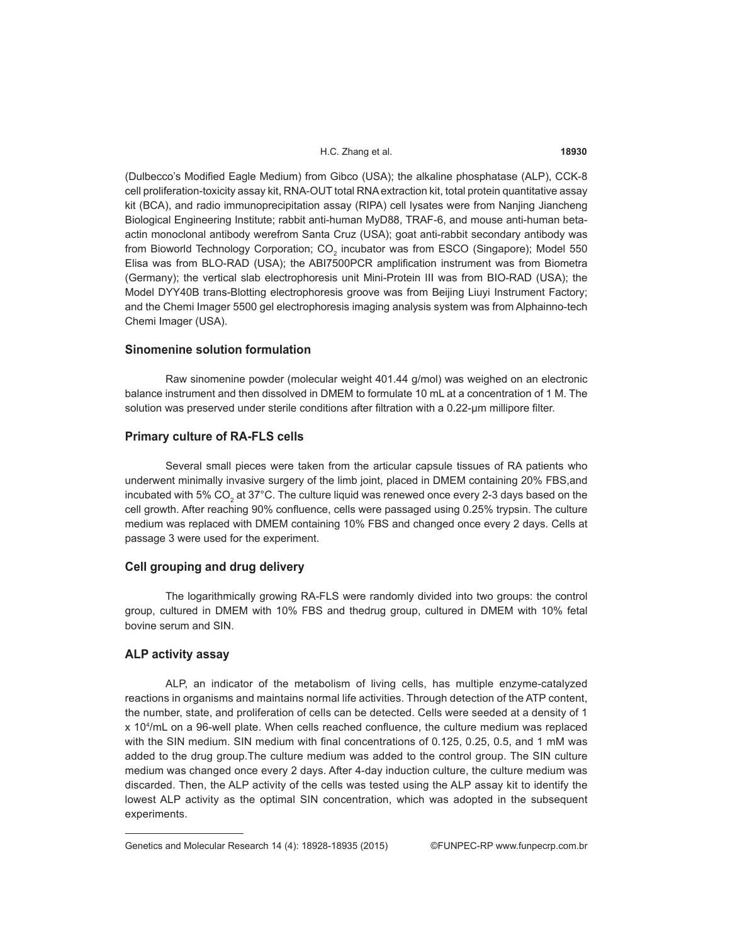#### H.C. Zhang et al. **18930**

(Dulbecco's Modified Eagle Medium) from Gibco (USA); the alkaline phosphatase (ALP), CCK-8 cell proliferation-toxicity assay kit, RNA-OUT total RNA extraction kit, total protein quantitative assay kit (BCA), and radio immunoprecipitation assay (RIPA) cell lysates were from Nanjing Jiancheng Biological Engineering Institute; rabbit anti-human MyD88, TRAF-6, and mouse anti-human betaactin monoclonal antibody werefrom Santa Cruz (USA); goat anti-rabbit secondary antibody was from Bioworld Technology Corporation;  $CO_2$  incubator was from ESCO (Singapore); Model 550 Elisa was from BLO-RAD (USA); the ABI7500PCR amplification instrument was from Biometra (Germany); the vertical slab electrophoresis unit Mini-Protein III was from BIO-RAD (USA); the Model DYY40B trans-Blotting electrophoresis groove was from Beijing Liuyi Instrument Factory; and the Chemi Imager 5500 gel electrophoresis imaging analysis system was from Alphainno-tech Chemi Imager (USA).

## **Sinomenine solution formulation**

Raw sinomenine powder (molecular weight 401.44 g/mol) was weighed on an electronic balance instrument and then dissolved in DMEM to formulate 10 mL at a concentration of 1 M. The solution was preserved under sterile conditions after filtration with a 0.22-um millipore filter.

## **Primary culture of RA-FLS cells**

Several small pieces were taken from the articular capsule tissues of RA patients who underwent minimally invasive surgery of the limb joint, placed in DMEM containing 20% FBS,and incubated with 5% CO<sub>2</sub> at 37°C. The culture liquid was renewed once every 2-3 days based on the cell growth. After reaching 90% confluence, cells were passaged using 0.25% trypsin. The culture medium was replaced with DMEM containing 10% FBS and changed once every 2 days. Cells at passage 3 were used for the experiment.

# **Cell grouping and drug delivery**

The logarithmically growing RA-FLS were randomly divided into two groups: the control group, cultured in DMEM with 10% FBS and thedrug group, cultured in DMEM with 10% fetal bovine serum and SIN.

# **ALP activity assay**

ALP, an indicator of the metabolism of living cells, has multiple enzyme-catalyzed reactions in organisms and maintains normal life activities. Through detection of the ATP content, the number, state, and proliferation of cells can be detected. Cells were seeded at a density of 1 x 104 /mL on a 96-well plate. When cells reached confluence, the culture medium was replaced with the SIN medium. SIN medium with final concentrations of 0.125, 0.25, 0.5, and 1 mM was added to the drug group.The culture medium was added to the control group. The SIN culture medium was changed once every 2 days. After 4-day induction culture, the culture medium was discarded. Then, the ALP activity of the cells was tested using the ALP assay kit to identify the lowest ALP activity as the optimal SIN concentration, which was adopted in the subsequent experiments.

Genetics and Molecular Research 14 (4): 18928-18935 (2015) ©FUNPEC-RP www.funpecrp.com.br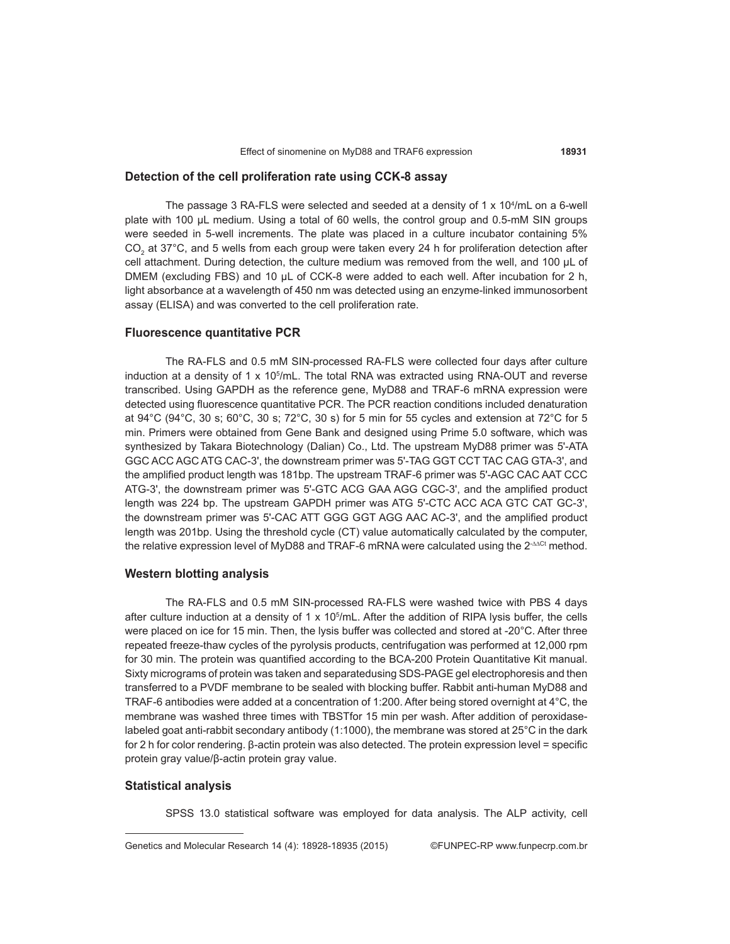# **Detection of the cell proliferation rate using CCK-8 assay**

The passage 3 RA-FLS were selected and seeded at a density of 1 x 10<sup>4</sup>/mL on a 6-well plate with 100 μL medium. Using a total of 60 wells, the control group and 0.5-mM SIN groups were seeded in 5-well increments. The plate was placed in a culture incubator containing 5%  $CO_2$  at 37°C, and 5 wells from each group were taken every 24 h for proliferation detection after cell attachment. During detection, the culture medium was removed from the well, and 100 μL of DMEM (excluding FBS) and 10 μL of CCK-8 were added to each well. After incubation for 2 h, light absorbance at a wavelength of 450 nm was detected using an enzyme-linked immunosorbent assay (ELISA) and was converted to the cell proliferation rate.

# **Fluorescence quantitative PCR**

The RA-FLS and 0.5 mM SIN-processed RA-FLS were collected four days after culture induction at a density of 1 x 10<sup>5</sup>/mL. The total RNA was extracted using RNA-OUT and reverse transcribed. Using GAPDH as the reference gene, MyD88 and TRAF-6 mRNA expression were detected using fluorescence quantitative PCR. The PCR reaction conditions included denaturation at 94 $^{\circ}$ C (94 $^{\circ}$ C, 30 s; 60 $^{\circ}$ C, 30 s; 72 $^{\circ}$ C, 30 s) for 5 min for 55 cycles and extension at 72 $^{\circ}$ C for 5 min. Primers were obtained from Gene Bank and designed using Prime 5.0 software, which was synthesized by Takara Biotechnology (Dalian) Co., Ltd. The upstream MyD88 primer was 5'-ATA GGC ACC AGC ATG CAC-3', the downstream primer was 5'-TAG GGT CCT TAC CAG GTA-3', and the amplified product length was 181bp. The upstream TRAF-6 primer was 5'-AGC CAC AAT CCC ATG-3', the downstream primer was 5'-GTC ACG GAA AGG CGC-3', and the amplified product length was 224 bp. The upstream GAPDH primer was ATG 5'-CTC ACC ACA GTC CAT GC-3', the downstream primer was 5'-CAC ATT GGG GGT AGG AAC AC-3', and the amplified product length was 201bp. Using the threshold cycle (CT) value automatically calculated by the computer, the relative expression level of MyD88 and TRAF-6 mRNA were calculated using the 2-∆∆Ct method.

# **Western blotting analysis**

The RA-FLS and 0.5 mM SIN-processed RA-FLS were washed twice with PBS 4 days after culture induction at a density of 1 x 105 /mL. After the addition of RIPA lysis buffer, the cells were placed on ice for 15 min. Then, the lysis buffer was collected and stored at -20°C. After three repeated freeze-thaw cycles of the pyrolysis products, centrifugation was performed at 12,000 rpm for 30 min. The protein was quantified according to the BCA-200 Protein Quantitative Kit manual. Sixty micrograms of protein was taken and separatedusing SDS-PAGE gel electrophoresis and then transferred to a PVDF membrane to be sealed with blocking buffer. Rabbit anti-human MyD88 and TRAF-6 antibodies were added at a concentration of 1:200. After being stored overnight at 4°C, the membrane was washed three times with TBSTfor 15 min per wash. After addition of peroxidaselabeled goat anti-rabbit secondary antibody (1:1000), the membrane was stored at 25°C in the dark for 2 h for color rendering. β-actin protein was also detected. The protein expression level = specific protein gray value/β-actin protein gray value.

# **Statistical analysis**

SPSS 13.0 statistical software was employed for data analysis. The ALP activity, cell

Genetics and Molecular Research 14 (4): 18928-18935 (2015) ©FUNPEC-RP www.funpecrp.com.br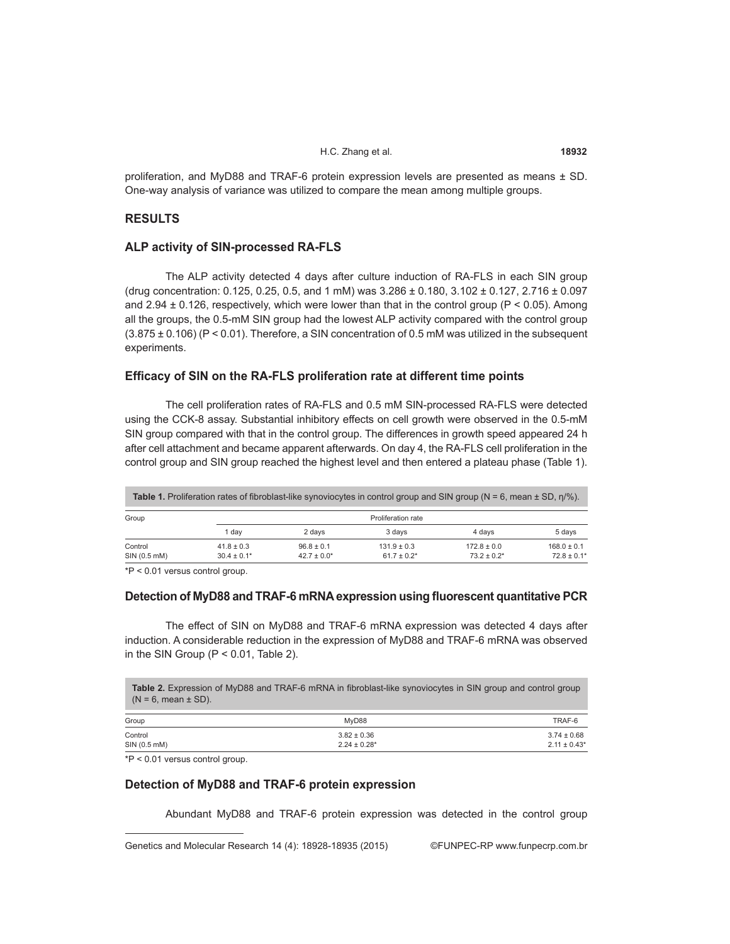#### H.C. Zhang et al. **18932**

proliferation, and MyD88 and TRAF-6 protein expression levels are presented as means ± SD. One-way analysis of variance was utilized to compare the mean among multiple groups.

# **RESULTS**

# **ALP activity of SIN-processed RA-FLS**

The ALP activity detected 4 days after culture induction of RA-FLS in each SIN group (drug concentration: 0.125, 0.25, 0.5, and 1 mM) was  $3.286 \pm 0.180$ ,  $3.102 \pm 0.127$ ,  $2.716 \pm 0.097$ and 2.94  $\pm$  0.126, respectively, which were lower than that in the control group (P < 0.05). Among all the groups, the 0.5-mM SIN group had the lowest ALP activity compared with the control group  $(3.875 \pm 0.106)$  (P < 0.01). Therefore, a SIN concentration of 0.5 mM was utilized in the subsequent experiments.

## **Efficacy of SIN on the RA-FLS proliferation rate at different time points**

The cell proliferation rates of RA-FLS and 0.5 mM SIN-processed RA-FLS were detected using the CCK-8 assay. Substantial inhibitory effects on cell growth were observed in the 0.5-mM SIN group compared with that in the control group. The differences in growth speed appeared 24 h after cell attachment and became apparent afterwards. On day 4, the RA-FLS cell proliferation in the control group and SIN group reached the highest level and then entered a plateau phase (Table 1).

| <b>Table 1.</b> Proliferation rates of fibroblast-like synoviocytes in control group and SIN group ( $N = 6$ , mean $\pm$ SD, n/%). |                                   |                                    |                                     |                                     |                                    |  |
|-------------------------------------------------------------------------------------------------------------------------------------|-----------------------------------|------------------------------------|-------------------------------------|-------------------------------------|------------------------------------|--|
| Group                                                                                                                               | Proliferation rate                |                                    |                                     |                                     |                                    |  |
|                                                                                                                                     | 1 dav                             | 2 days                             | 3 days                              | 4 davs                              | 5 days                             |  |
| Control<br>SIN (0.5 mM)                                                                                                             | $41.8 \pm 0.3$<br>$30.4 \pm 0.1*$ | $96.8 \pm 0.1$<br>$42.7 \pm 0.0^*$ | $131.9 \pm 0.3$<br>$61.7 \pm 0.2$ * | $172.8 \pm 0.0$<br>$73.2 \pm 0.2^*$ | $168.0 \pm 0.1$<br>$72.8 \pm 0.1*$ |  |

\*P < 0.01 versus control group.

# **Detection of MyD88 and TRAF-6 mRNA expression using fluorescent quantitative PCR**

The effect of SIN on MyD88 and TRAF-6 mRNA expression was detected 4 days after induction. A considerable reduction in the expression of MyD88 and TRAF-6 mRNA was observed in the SIN Group ( $P < 0.01$ , Table 2).

| $(N = 6$ . mean $\pm$ SD). | <b>Table 2.</b> Expression of MyD88 and TRAF-6 mRNA in fibroblast-like synoviocytes in SIN group and control group |                 |
|----------------------------|--------------------------------------------------------------------------------------------------------------------|-----------------|
| Group                      | MvD88                                                                                                              | TRAF-6          |
| Control                    | $3.82 \pm 0.36$                                                                                                    | $3.74 \pm 0.68$ |

SIN (0.5 mM) 2.24 ± 0.28\* 2.24 ± 0.28\* 2.24 ± 0.28 2.24 ± 0.28 2.11 ± 0.43 \*

\*P < 0.01 versus control group.

# **Detection of MyD88 and TRAF-6 protein expression**

Abundant MyD88 and TRAF-6 protein expression was detected in the control group

Genetics and Molecular Research 14 (4): 18928-18935 (2015) ©FUNPEC-RP www.funpecrp.com.br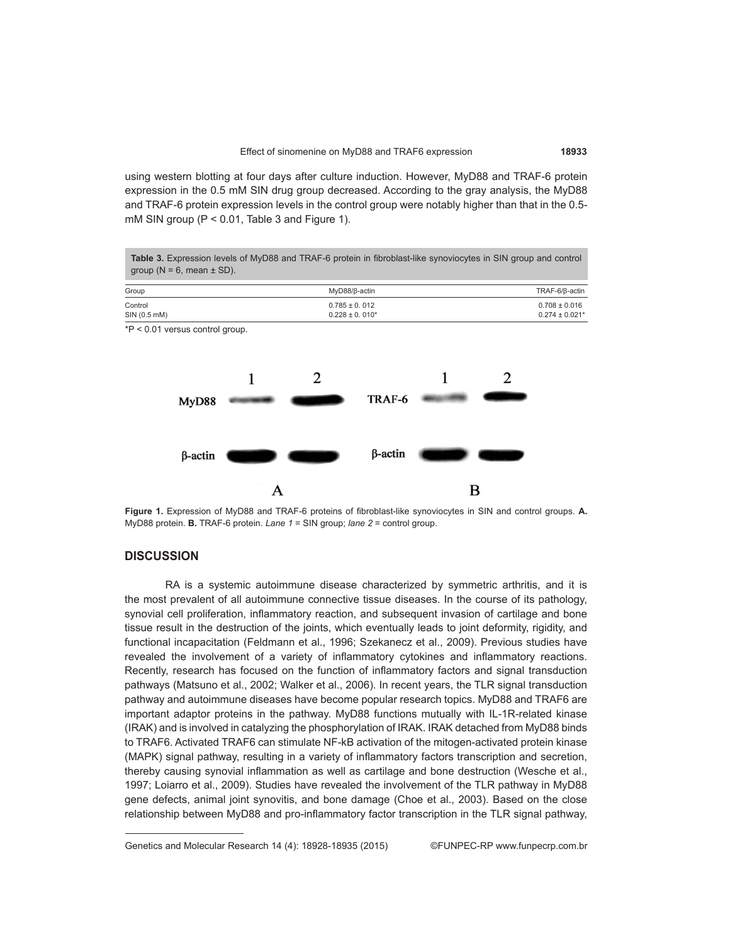using western blotting at four days after culture induction. However, MyD88 and TRAF-6 protein expression in the 0.5 mM SIN drug group decreased. According to the gray analysis, the MyD88 and TRAF-6 protein expression levels in the control group were notably higher than that in the 0.5 mM SIN group (P < 0.01, Table 3 and Figure 1).



**Figure 1.** Expression of MyD88 and TRAF-6 proteins of fibroblast-like synoviocytes in SIN and control groups. **A.** MyD88 protein. **B.** TRAF-6 protein. *Lane 1* = SIN group; *lane 2* = control group.

# **DISCUSSION**

RA is a systemic autoimmune disease characterized by symmetric arthritis, and it is the most prevalent of all autoimmune connective tissue diseases. In the course of its pathology, synovial cell proliferation, inflammatory reaction, and subsequent invasion of cartilage and bone tissue result in the destruction of the joints, which eventually leads to joint deformity, rigidity, and functional incapacitation (Feldmann et al., 1996; Szekanecz et al., 2009). Previous studies have revealed the involvement of a variety of inflammatory cytokines and inflammatory reactions. Recently, research has focused on the function of inflammatory factors and signal transduction pathways (Matsuno et al., 2002; Walker et al., 2006). In recent years, the TLR signal transduction pathway and autoimmune diseases have become popular research topics. MyD88 and TRAF6 are important adaptor proteins in the pathway. MyD88 functions mutually with IL-1R-related kinase (IRAK) and is involved in catalyzing the phosphorylation of IRAK. IRAK detached from MyD88 binds to TRAF6. Activated TRAF6 can stimulate NF-kB activation of the mitogen-activated protein kinase (MAPK) signal pathway, resulting in a variety of inflammatory factors transcription and secretion, thereby causing synovial inflammation as well as cartilage and bone destruction (Wesche et al., 1997; Loiarro et al., 2009). Studies have revealed the involvement of the TLR pathway in MyD88 gene defects, animal joint synovitis, and bone damage (Choe et al., 2003). Based on the close relationship between MyD88 and pro-inflammatory factor transcription in the TLR signal pathway,

Genetics and Molecular Research 14 (4): 18928-18935 (2015) ©FUNPEC-RP www.funpecrp.com.br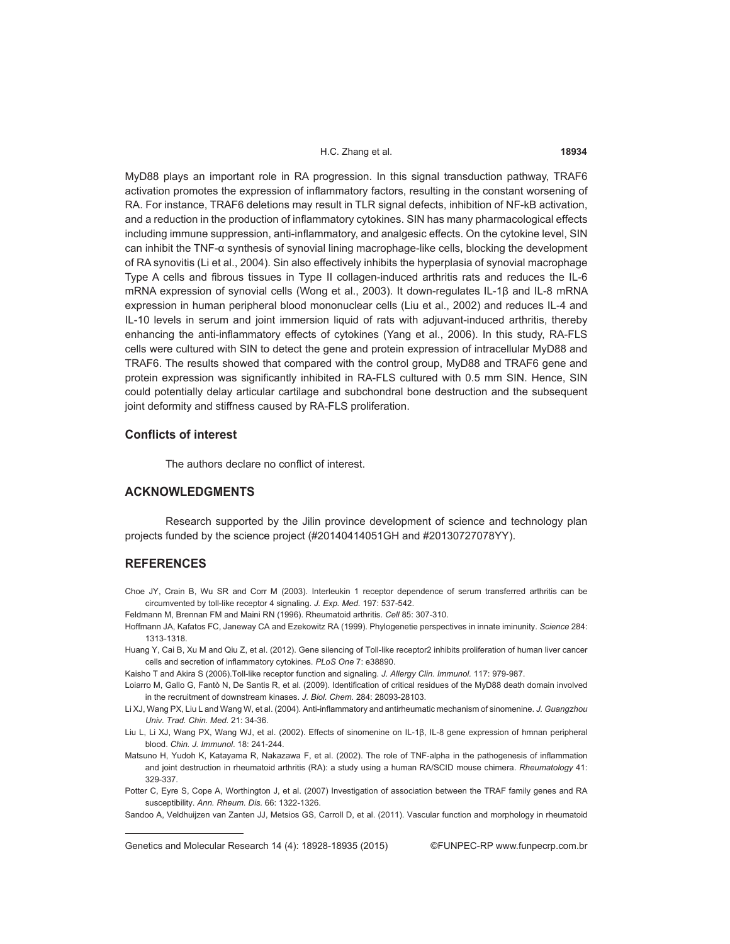#### H.C. Zhang et al. **18934**

MyD88 plays an important role in RA progression. In this signal transduction pathway, TRAF6 activation promotes the expression of inflammatory factors, resulting in the constant worsening of RA. For instance, TRAF6 deletions may result in TLR signal defects, inhibition of NF-kB activation, and a reduction in the production of inflammatory cytokines. SIN has many pharmacological effects including immune suppression, anti-inflammatory, and analgesic effects. On the cytokine level, SIN can inhibit the TNF-α synthesis of synovial lining macrophage-like cells, blocking the development of RA synovitis (Li et al., 2004). Sin also effectively inhibits the hyperplasia of synovial macrophage Type A cells and fibrous tissues in Type II collagen-induced arthritis rats and reduces the IL-6 mRNA expression of synovial cells (Wong et al., 2003). It down-regulates IL-1β and IL-8 mRNA expression in human peripheral blood mononuclear cells (Liu et al., 2002) and reduces IL-4 and IL-10 levels in serum and joint immersion liquid of rats with adjuvant-induced arthritis, thereby enhancing the anti-inflammatory effects of cytokines (Yang et al., 2006). In this study, RA-FLS cells were cultured with SIN to detect the gene and protein expression of intracellular MyD88 and TRAF6. The results showed that compared with the control group, MyD88 and TRAF6 gene and protein expression was significantly inhibited in RA-FLS cultured with 0.5 mm SIN. Hence, SIN could potentially delay articular cartilage and subchondral bone destruction and the subsequent joint deformity and stiffness caused by RA-FLS proliferation.

## **Conflicts of interest**

The authors declare no conflict of interest.

# **ACKNOWLEDGMENTS**

Research supported by the Jilin province development of science and technology plan projects funded by the science project (#20140414051GH and #20130727078YY).

# **REFERENCES**

Choe JY, Crain B, Wu SR and Corr M (2003). Interleukin 1 receptor dependence of serum transferred arthritis can be circumvented by toll-like receptor 4 signaling. *J. Exp. Med.* 197: 537-542.

Feldmann M, Brennan FM and Maini RN (1996). Rheumatoid arthritis. *Cell* 85: 307-310.

- Hoffmann JA, Kafatos FC, Janeway CA and Ezekowitz RA (1999). Phylogenetie perspectives in innate iminunity. *Science* 284: 1313-1318.
- Huang Y, Cai B, Xu M and Qiu Z, et al. (2012). Gene silencing of Toll-like receptor2 inhibits proliferation of human liver cancer cells and secretion of inflammatory cytokines. *PLoS One* 7: e38890.
- Kaisho T and Akira S (2006).Toll-like receptor function and signaling. *J. Allergy Clin. Immunol.* 117: 979-987.
- Loiarro M, Gallo G, Fantò N, De Santis R, et al. (2009). Identification of critical residues of the MyD88 death domain involved in the recruitment of downstream kinases. *J. Biol. Chem.* 284: 28093-28103.
- Li XJ, Wang PX, Liu L and Wang W, et al. (2004). Anti-inflammatory and antirheumatic mechanism of sinomenine. *J. Guangzhou Univ. Trad. Chin. Med.* 21: 34-36.
- Liu L, Li XJ, Wang PX, Wang WJ, et al. (2002). Effects of sinomenine on IL-1β, IL-8 gene expression of hmnan peripheral blood. *Chin. J. Immunol*. 18: 241-244.
- Matsuno H, Yudoh K, Katayama R, Nakazawa F, et al. (2002). The role of TNF-alpha in the pathogenesis of inflammation and joint destruction in rheumatoid arthritis (RA): a study using a human RA/SCID mouse chimera. *Rheumatology* 41: 329-337.
- Potter C, Eyre S, Cope A, Worthington J, et al. (2007) Investigation of association between the TRAF family genes and RA susceptibility. *Ann. Rheum. Dis.* 66: 1322-1326.

Sandoo A, Veldhuijzen van Zanten JJ, Metsios GS, Carroll D, et al. (2011). Vascular function and morphology in rheumatoid

Genetics and Molecular Research 14 (4): 18928-18935 (2015) ©FUNPEC-RP www.funpecrp.com.br